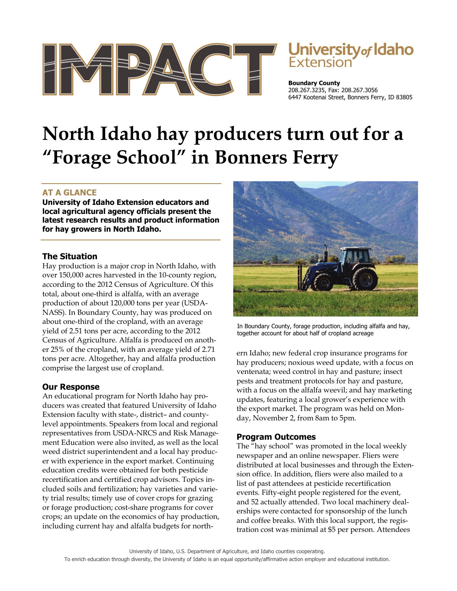

# Jniversity<sub>of</sub> Idaho

**Boundary County** 208.267.3235, Fax: 208.267.3056 6447 Kootenai Street, Bonners Ferry, ID 83805

# **North Idaho hay producers turn out for a "Forage School" in Bonners Ferry**

# **AT A GLANCE**

**University of Idaho Extension educators and local agricultural agency officials present the latest research results and product information for hay growers in North Idaho.** 

## **The Situation**

Hay production is a major crop in North Idaho, with over 150,000 acres harvested in the 10-county region, according to the 2012 Census of Agriculture. Of this total, about one-third is alfalfa, with an average production of about 120,000 tons per year (USDA-NASS). In Boundary County, hay was produced on about one-third of the cropland, with an average yield of 2.51 tons per acre, according to the 2012 Census of Agriculture. Alfalfa is produced on another 25% of the cropland, with an average yield of 2.71 tons per acre. Altogether, hay and alfalfa production comprise the largest use of cropland.

## **Our Response**

An educational program for North Idaho hay producers was created that featured University of Idaho Extension faculty with state-, district– and countylevel appointments. Speakers from local and regional representatives from USDA-NRCS and Risk Management Education were also invited, as well as the local weed district superintendent and a local hay producer with experience in the export market. Continuing education credits were obtained for both pesticide recertification and certified crop advisors. Topics included soils and fertilization; hay varieties and variety trial results; timely use of cover crops for grazing or forage production; cost-share programs for cover crops; an update on the economics of hay production, including current hay and alfalfa budgets for north-



In Boundary County, forage production, including alfalfa and hay, together account for about half of cropland acreage

ern Idaho; new federal crop insurance programs for hay producers; noxious weed update, with a focus on ventenata; weed control in hay and pasture; insect pests and treatment protocols for hay and pasture, with a focus on the alfalfa weevil; and hay marketing updates, featuring a local grower's experience with the export market. The program was held on Monday, November 2, from 8am to 5pm.

## **Program Outcomes**

The "hay school" was promoted in the local weekly newspaper and an online newspaper. Fliers were distributed at local businesses and through the Extension office. In addition, fliers were also mailed to a list of past attendees at pesticide recertification events. Fifty-eight people registered for the event, and 52 actually attended. Two local machinery dealerships were contacted for sponsorship of the lunch and coffee breaks. With this local support, the registration cost was minimal at \$5 per person. Attendees